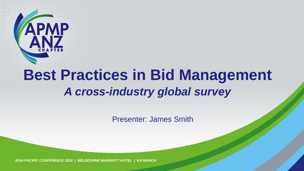

# **Best Practices in Bid Management** *A cross-industry global survey*

Presenter: James Smith

*ASIA-PACIFIC CONFERENCE 2016 | MELBOURNE MARRIOTT HOTEL | 8-9 MARCH*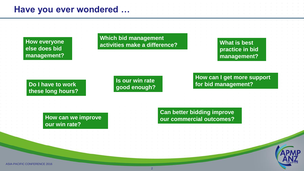#### **Have you ever wondered …**

**else does bid management?**

**Which bid management activities make a difference? How everyone** 

**What is best practice in bid management?**

#### **Do I have to work these long hours?**

**Is our win rate good enough?** **How can I get more support for bid management?**

**How can we improve our win rate?**

**Can better bidding improve our commercial outcomes?**

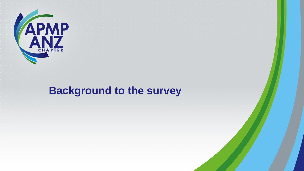

# **Background to the survey**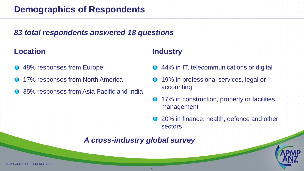### **Demographics of Respondents**

#### *83 total respondents answered 18 questions*

#### **Location**

- **O** 48% responses from Europe
- 17% responses from North America
- **O** 35% responses from Asia Pacific and India

#### **Industry**

- 44% in IT, telecommunications or digital
- 19% in professional services, legal or accounting
- 17% in construction, property or facilities management
- **O** 20% in finance, health, defence and other sectors

#### *A cross-industry global survey*

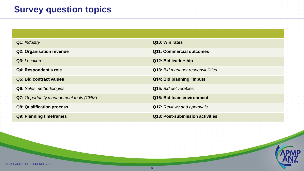## **Survey question topics**

| Q1: Industry                           | Q10: Win rates                    |
|----------------------------------------|-----------------------------------|
| <b>Q2: Organisation revenue</b>        | <b>Q11: Commercial outcomes</b>   |
| Q3: Location                           | Q12: Bid leadership               |
| Q4: Respondent's role                  | Q13: Bid manager responsibilities |
| <b>Q5: Bid contract values</b>         | Q14: Bid planning "inputs"        |
| <b>Q6:</b> Sales methodologies         | Q15: Bid deliverables             |
| Q7: Opportunity management tools (CRM) | Q16: Bid team environment         |
| <b>Q8: Qualification process</b>       | <b>Q17: Reviews and approvals</b> |
| <b>Q9: Planning timeframes</b>         | Q18: Post-submission activities   |



APMP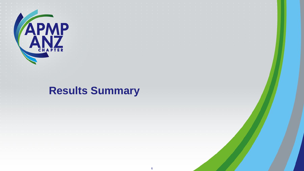

# **Results Summary**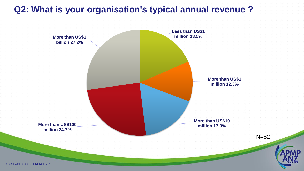#### **Q2: What is your organisation's typical annual revenue ?**

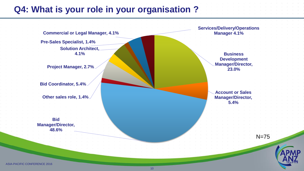#### **Q4: What is your role in your organisation ?**

**Pre-Sales Specialist, 1.4% Commercial or Legal Manager, 4.1%**

**Solution Architect, 4.1%**

**Project Manager, 2.7%**

**Bid Coordinator, 5.4%**

**Other sales role, 1.4%**

**Bid Manager/Director, 48.6%**

**Services/Delivery/Operations Manager 4.1%**

> **Business Development Manager/Director, 23.0%**

**Account or Sales Manager/Director, 5.4%**



N=75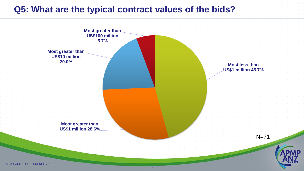#### **Q5: What are the typical contract values of the bids?**

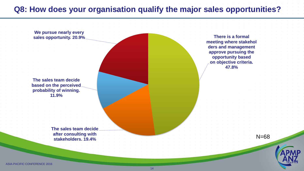#### **Q8: How does your organisation qualify the major sales opportunities?**

**There is a formal meeting where stakehol ders and management approve pursuing the opportunity based on objective criteria. 47.8% The sales team decide after consulting with stakeholders. 19.4% The sales team decide based on the perceived probability of winning. 11.9% We pursue nearly every sales opportunity. 20.9%** N=68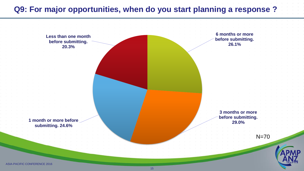#### **Q9: For major opportunities, when do you start planning a response ?**

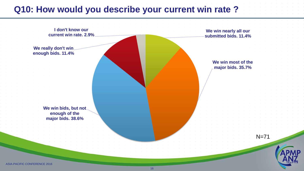#### **Q10: How would you describe your current win rate ?**

**We win nearly all our submitted bids. 11.4% We win most of the major bids. 35.7% We win bids, but not enough of the major bids. 38.6% We really don't win enough bids. 11.4% I don't know our current win rate. 2.9%** N=71



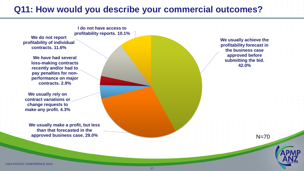#### **Q11: How would you describe your commercial outcomes?**

**We do not report profitability of individual contracts. 11.6% I do not have access to profitability reports. 10.1%**

**We have had several loss-making contracts recently and/or had to pay penalties for nonperformance on major contracts. 2.9%**

**We usually rely on contract variations or change requests to make any profit. 4.3%**

**We usually make a profit, but less than that forecasted in the approved business case. 29.0%**

**We usually achieve the profitability forecast in the business case approved before submitting the bid. 42.0%**

N=70

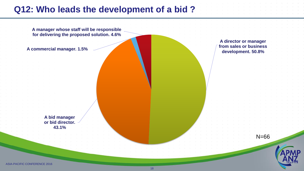### **Q12: Who leads the development of a bid ?**

**A manager whose staff will be responsible for delivering the proposed solution. 4.6%**

**A commercial manager. 1.5%**

**A director or manager from sales or business development. 50.8%**

**A bid manager or bid director. 43.1%**

N=66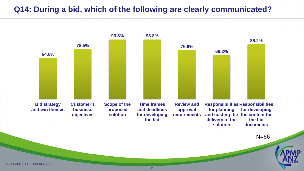#### **Q14: During a bid, which of the following are clearly communicated?**

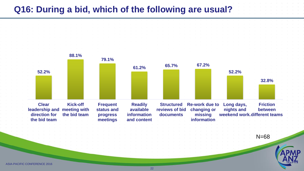#### **Q16: During a bid, which of the following are usual?**

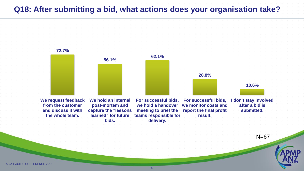#### **Q18: After submitting a bid, what actions does your organisation take?**

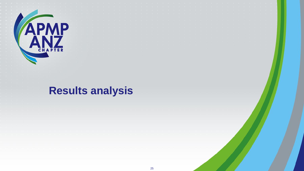

# **Results analysis**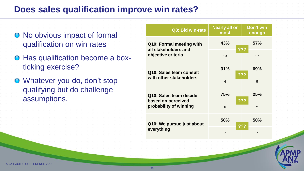#### **Does sales qualification improve win rates?**

- No obvious impact of formal qualification on win rates
- **O** Has qualification become a boxticking exercise?
- Whatever you do, don't stop qualifying but do challenge assumptions.

| Q8: Bid win-rate                                 | <b>Nearly all or</b><br>most | Don't win<br>enough |
|--------------------------------------------------|------------------------------|---------------------|
| Q10: Formal meeting with<br>all stakeholders and | 43%                          | <b>57%</b><br>???   |
| objective criteria                               | 13                           | 17                  |
| Q10: Sales team consult                          | 31%                          | 69%                 |
| with other stakeholders                          | $\overline{4}$               | 9                   |
| Q10: Sales team decide                           | 75%                          | 25%<br>???          |
| based on perceived<br>probability of winning     | 6                            | $\overline{2}$      |
| Q10: We pursue just about                        | 50%                          | 50%                 |
| everything                                       | $\overline{7}$               | $\overline{7}$      |

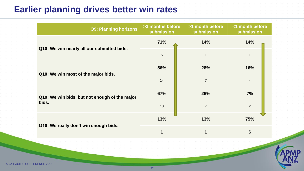### **Earlier planning drives better win rates**

|  | <b>Q9: Planning horizons</b>                           | >3 months before<br>submission | >1 month before<br>submission | <1 month before<br>submission |
|--|--------------------------------------------------------|--------------------------------|-------------------------------|-------------------------------|
|  |                                                        | 71%                            | 14%                           | 14%                           |
|  | Q10: We win nearly all our submitted bids.             | 5                              |                               | 1                             |
|  |                                                        | 56%                            | 28%                           | 16%                           |
|  | Q10: We win most of the major bids.                    | 14                             | $\overline{7}$                | $\overline{4}$                |
|  | Q10: We win bids, but not enough of the major<br>bids. | 67%                            | 26%                           | 7%                            |
|  |                                                        | 18                             | $\overline{7}$                | 2                             |
|  |                                                        | 13%                            | 13%                           | 75%                           |
|  | Q10: We really don't win enough bids.                  | 1                              | $\blacktriangleleft$          | $6\phantom{1}$                |
|  |                                                        |                                |                               |                               |
|  |                                                        |                                |                               |                               |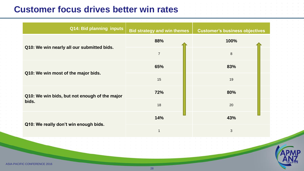#### **Customer focus drives better win rates**

ASIA-PAC

| <b>Q14: Bid planning inputs</b>                        | <b>Bid strategy and win themes</b> | <b>Customer's business objectives</b> |
|--------------------------------------------------------|------------------------------------|---------------------------------------|
|                                                        | 88%                                | 100%                                  |
| Q10: We win nearly all our submitted bids.             | $\overline{7}$                     | 8                                     |
|                                                        | 65%                                | 83%                                   |
| Q10: We win most of the major bids.                    | 15                                 | 19                                    |
| Q10: We win bids, but not enough of the major<br>bids. | 72%                                | 80%                                   |
|                                                        | 18                                 | 20                                    |
|                                                        | 14%                                | 43%                                   |
| Q10: We really don't win enough bids.                  | $\mathbf{1}$                       | $\mathfrak{S}$                        |
|                                                        |                                    |                                       |
| <b>IEIC CONIEEDENIC</b>                                |                                    |                                       |

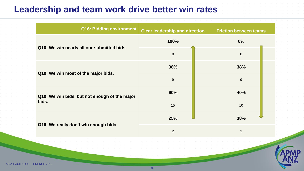#### **Leadership and team work drive better win rates**

**ASIA-PACIFIC** 

| Q16: Bidding environment                      | <b>Clear leadership and direction</b> | <b>Friction between teams</b> |
|-----------------------------------------------|---------------------------------------|-------------------------------|
|                                               | 100%                                  | 0%                            |
| Q10: We win nearly all our submitted bids.    | 8                                     | $\mathbf 0$                   |
|                                               | 38%                                   | 38%                           |
| Q10: We win most of the major bids.           | 9                                     | $9$                           |
| Q10: We win bids, but not enough of the major | 60%                                   | 40%                           |
| bids.                                         | 15                                    | 10                            |
| Q10: We really don't win enough bids.         | 25%                                   | 38%                           |
|                                               | $\overline{2}$                        | $\mathbf{3}$                  |
|                                               |                                       |                               |

29

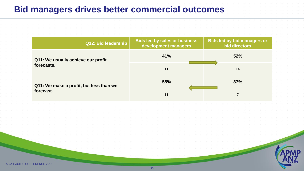#### **Bid managers drives better commercial outcomes**

|                                         | Q12: Bid leadership                | <b>Bids led by sales or business</b><br>development managers | <b>Bids led by bid managers or</b><br>bid directors |
|-----------------------------------------|------------------------------------|--------------------------------------------------------------|-----------------------------------------------------|
|                                         | Q11: We usually achieve our profit | 41%                                                          | 52%                                                 |
| forecasts.                              |                                    | 11                                                           | 14                                                  |
| Q11: We make a profit, but less than we |                                    | 58%                                                          | 37%                                                 |
| forecast.                               | 11                                 |                                                              |                                                     |

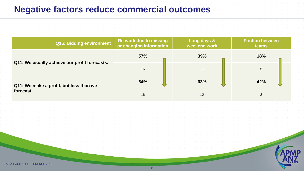#### **Negative factors reduce commercial outcomes**

| Q16: Bidding environment                      | <b>Re-work due to missing</b><br>or changing information | Long days &<br>weekend work | <b>Friction between</b><br>teams |
|-----------------------------------------------|----------------------------------------------------------|-----------------------------|----------------------------------|
|                                               | <b>57%</b>                                               | 39%                         | 18%                              |
| Q11: We usually achieve our profit forecasts. | 16                                                       | 11                          | 5                                |
| Q11: We make a profit, but less than we       | 84%                                                      | 63%                         | 42%                              |
| forecast.                                     | 16                                                       | 12                          | 8                                |
|                                               |                                                          |                             |                                  |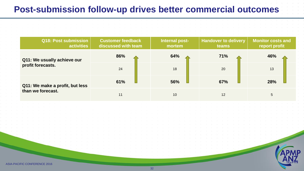#### **Post-submission follow-up drives better commercial outcomes**

| <b>Q18: Post submission</b><br>activities | <b>Customer feedback</b><br>discussed with team | Internal post-<br>mortem | <b>Handover to delivery</b><br>teams | <b>Monitor costs and</b><br>report profit |
|-------------------------------------------|-------------------------------------------------|--------------------------|--------------------------------------|-------------------------------------------|
| Q11: We usually achieve our               | 86%                                             | 64%                      | 71%                                  | 46%                                       |
| profit forecasts.                         | 24                                              | 18                       | 20                                   | 13                                        |
| Q11: We make a profit, but less           | 61%                                             | 56%                      | 67%                                  | 28%                                       |
| than we forecast.                         | 11                                              | 10                       | 12                                   | 5                                         |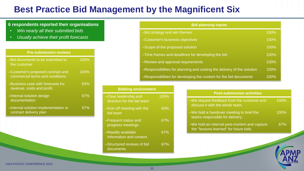### **Best Practice Bid Management by the Magnificent Six**

#### **6 respondents reported their organisations**

- *Win nearly all their submitted bids*
- *Usually achieve their profit forecasts*

#### **Pre-submission reviews**

| -Bid documents to be submitted to<br>the customer                    | 100% |
|----------------------------------------------------------------------|------|
| -Customer's proposed contract and<br>commercial terms and conditions | 100% |
| -Business case with forecasts for<br>revenue, costs and profit.      | 83%  |
| -Internal solution design<br>documentation                           | 67%  |
| -Internal solution implementation or<br>contract delivery plan       | 67%  |
|                                                                      |      |

| <b>Bid planning inputs</b>                                              |      |
|-------------------------------------------------------------------------|------|
| -Bid strategy and win themes                                            | 100% |
| -Customer's business objectives                                         | 100% |
| -Scope of the proposed solution                                         | 100% |
| -Time frames and deadlines for developing the bid                       | 100% |
| -Review and approval requirements                                       | 100% |
| -Responsibilities for planning and costing the delivery of the solution | 100% |
| -Responsibilities for developing the content for the bid documents      | 100% |

 $-We$  re discu

 $-We h$ 

| <b>Bidding environment</b>                                |      |  |
|-----------------------------------------------------------|------|--|
| <b>Clear leadership and</b><br>direction for the bid team | 100% |  |
| Kick-off meeting with the<br>bid team                     | 83%  |  |
| -Frequent status and<br>progress meetings                 | 67%  |  |
| -Readily available<br>information and content             | 67%  |  |
| -Structured reviews of bid<br>documents                   | 67%  |  |

| <b>Post-submission activities</b>                                             |      |
|-------------------------------------------------------------------------------|------|
| -We request feedback from the customer and<br>discuss it with the whole team. | 100% |
| -We hold a handover meeting to brief the<br>teams responsible for delivery.   | 100% |

–We hold an internal post-mortem and capture the "lessons learned" for future bids. 67%